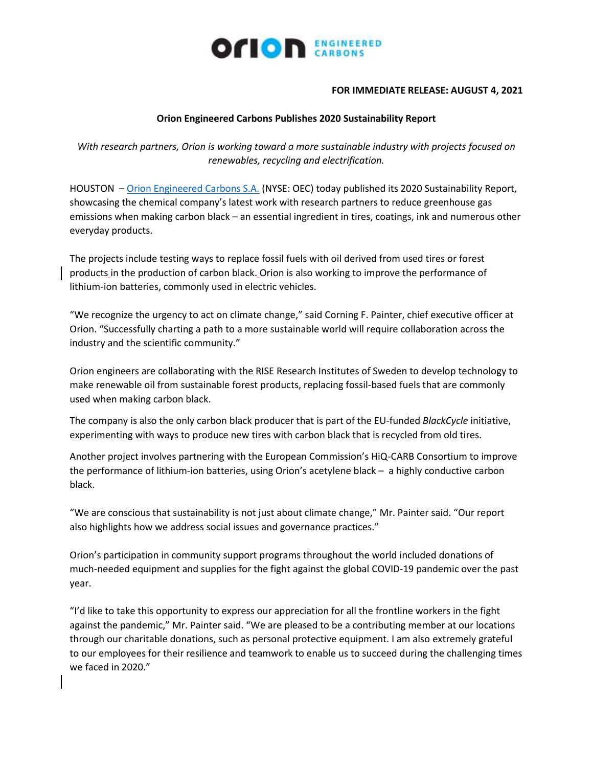

## **FOR IMMEDIATE RELEASE: AUGUST 4, 2021**

## **Orion Engineered Carbons Publishes 2020 Sustainability Report**

*With research partners, Orion is working toward a more sustainable industry with projects focused on renewables, recycling and electrification.* 

HOUSTON – [Orion Engineered Carbons S.A.](https://www.orioncarbons.com/index_en.php) (NYSE: OEC) today published its 2020 Sustainability Report, showcasing the chemical company's latest work with research partners to reduce greenhouse gas emissions when making carbon black – an essential ingredient in tires, coatings, ink and numerous other everyday products.

The projects include testing ways to replace fossil fuels with oil derived from used tires or forest products in the production of carbon black. Orion is also working to improve the performance of lithium-ion batteries, commonly used in electric vehicles.

"We recognize the urgency to act on climate change," said Corning F. Painter, chief executive officer at Orion. "Successfully charting a path to a more sustainable world will require collaboration across the industry and the scientific community."

Orion engineers are collaborating with the RISE Research Institutes of Sweden to develop technology to make renewable oil from sustainable forest products, replacing fossil-based fuels that are commonly used when making carbon black.

The company is also the only carbon black producer that is part of the EU-funded *BlackCycle* initiative, experimenting with ways to produce new tires with carbon black that is recycled from old tires.

Another project involves partnering with the European Commission's HiQ-CARB Consortium to improve the performance of lithium-ion batteries, using Orion's acetylene black – a highly conductive carbon black.

"We are conscious that sustainability is not just about climate change," Mr. Painter said. "Our report also highlights how we address social issues and governance practices."

Orion's participation in community support programs throughout the world included donations of much-needed equipment and supplies for the fight against the global COVID-19 pandemic over the past year.

"I'd like to take this opportunity to express our appreciation for all the frontline workers in the fight against the pandemic," Mr. Painter said. "We are pleased to be a contributing member at our locations through our charitable donations, such as personal protective equipment. I am also extremely grateful to our employees for their resilience and teamwork to enable us to succeed during the challenging times we faced in 2020."